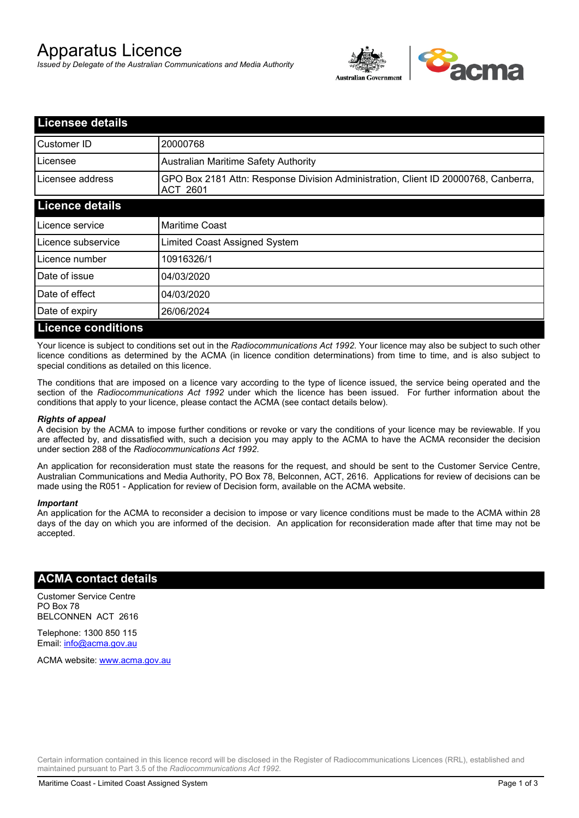# Apparatus Licence

*Issued by Delegate of the Australian Communications and Media Authority*



| <b>Licensee details</b>   |                                                                                                       |
|---------------------------|-------------------------------------------------------------------------------------------------------|
| Customer ID               | 20000768                                                                                              |
| Licensee                  | <b>Australian Maritime Safety Authority</b>                                                           |
| Licensee address          | GPO Box 2181 Attn: Response Division Administration, Client ID 20000768, Canberra,<br><b>ACT 2601</b> |
| <b>Licence details</b>    |                                                                                                       |
| Licence service           | <b>Maritime Coast</b>                                                                                 |
| Licence subservice        | Limited Coast Assigned System                                                                         |
| Licence number            | 10916326/1                                                                                            |
| Date of issue             | 04/03/2020                                                                                            |
| Date of effect            | 04/03/2020                                                                                            |
| Date of expiry            | 26/06/2024                                                                                            |
| <b>Licence conditions</b> |                                                                                                       |

Your licence is subject to conditions set out in the *Radiocommunications Act 1992*. Your licence may also be subject to such other licence conditions as determined by the ACMA (in licence condition determinations) from time to time, and is also subject to special conditions as detailed on this licence.

The conditions that are imposed on a licence vary according to the type of licence issued, the service being operated and the section of the *Radiocommunications Act 1992* under which the licence has been issued. For further information about the conditions that apply to your licence, please contact the ACMA (see contact details below).

#### *Rights of appeal*

A decision by the ACMA to impose further conditions or revoke or vary the conditions of your licence may be reviewable. If you are affected by, and dissatisfied with, such a decision you may apply to the ACMA to have the ACMA reconsider the decision under section 288 of the *Radiocommunications Act 1992*.

An application for reconsideration must state the reasons for the request, and should be sent to the Customer Service Centre, Australian Communications and Media Authority, PO Box 78, Belconnen, ACT, 2616. Applications for review of decisions can be made using the R051 - Application for review of Decision form, available on the ACMA website.

#### *Important*

An application for the ACMA to reconsider a decision to impose or vary licence conditions must be made to the ACMA within 28 days of the day on which you are informed of the decision. An application for reconsideration made after that time may not be accepted.

### **ACMA contact details**

Customer Service Centre PO Box 78 BELCONNEN ACT 2616

Telephone: 1300 850 115 Email: info@acma.gov.au

ACMA website: www.acma.gov.au

Certain information contained in this licence record will be disclosed in the Register of Radiocommunications Licences (RRL), established and maintained pursuant to Part 3.5 of the *Radiocommunications Act 1992.*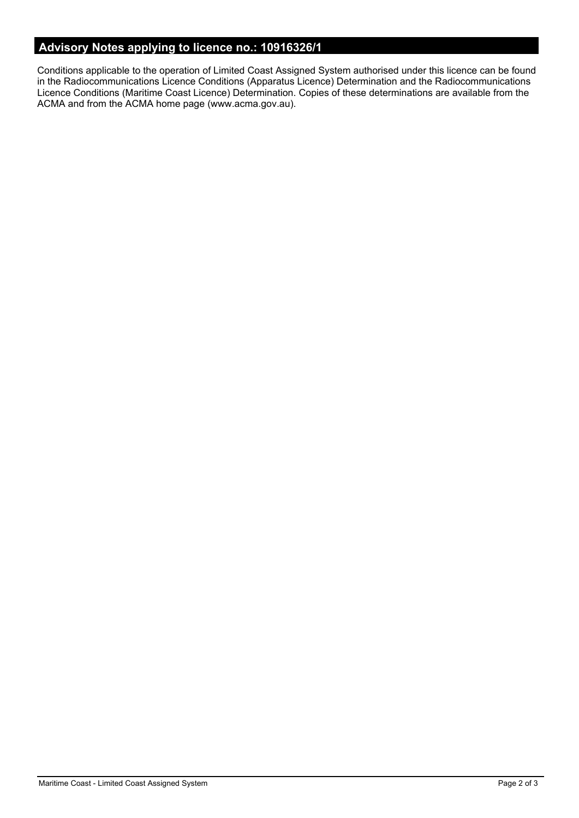# **Advisory Notes applying to licence no.: 10916326/1**

Conditions applicable to the operation of Limited Coast Assigned System authorised under this licence can be found in the Radiocommunications Licence Conditions (Apparatus Licence) Determination and the Radiocommunications Licence Conditions (Maritime Coast Licence) Determination. Copies of these determinations are available from the ACMA and from the ACMA home page (www.acma.gov.au).